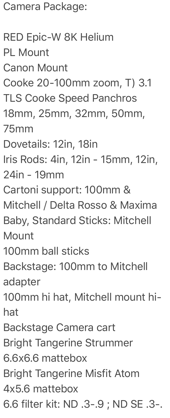Camera Package:

RED Epic-W 8K Helium PL Mount Canon Mount Cooke 20-100mm zoom, T) 3.1 TLS Cooke Speed Panchros 18mm, 25mm, 32mm, 50mm, 75mm Dovetails: 12in, 18in Iris Rods: 4in, 12in - 15mm, 12in, 24in - 19mm Cartoni support: 100mm & Mitchell / Delta Rosso & Maxima Baby, Standard Sticks: Mitchell **Mount** 100mm ball sticks Backstage: 100mm to Mitchell adapter 100mm hi hat, Mitchell mount hihat Backstage Camera cart Bright Tangerine Strummer 6.6x6.6 mattebox Bright Tangerine Misfit Atom 4x5.6 mattebox 6.6 filter kit: ND .3-.9 ; ND SE .3-.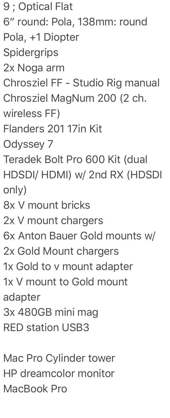9 ; Optical Flat 6" round: Pola, 138mm: round Pola, +1 Diopter **Spidergrips** 2x Noga arm Chrosziel FF - Studio Rig manual Chrosziel MagNum 200 (2 ch. wireless FF) Flanders 201 17in Kit Odyssey 7 Teradek Bolt Pro 600 Kit (dual HDSDI/ HDMI) w/ 2nd RX (HDSDI only) 8x V mount bricks 2x V mount chargers 6x Anton Bauer Gold mounts w/ 2x Gold Mount chargers 1x Gold to v mount adapter 1x V mount to Gold mount adapter 3x 480GB mini mag RED station USB3

Mac Pro Cylinder tower HP dreamcolor monitor MacBook Pro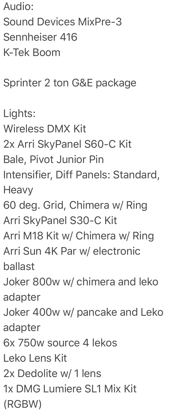Audio: Sound Devices MixPre-3 Sennheiser 416 K-Tek Boom

Sprinter 2 ton G&E package

Lights: Wireless DMX Kit 2x Arri SkyPanel S60-C Kit Bale, Pivot Junior Pin Intensifier, Diff Panels: Standard, **Heavy** 60 deg. Grid, Chimera w/ Ring Arri SkyPanel S30-C Kit Arri M18 Kit w/ Chimera w/ Ring Arri Sun 4K Par w/ electronic ballast Joker 800w w/ chimera and leko adapter Joker 400w w/ pancake and Leko adapter 6x 750w source 4 lekos Leko Lens Kit 2x Dedolite w/ 1 lens 1x DMG Lumiere SL1 Mix Kit (RGBW)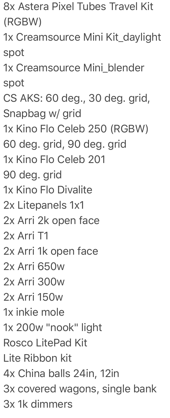8x Astera Pixel Tubes Travel Kit (RGBW)

1x Creamsource Mini Kit\_daylight spot

1x Creamsource Mini\_blender spot

CS AKS: 60 deg., 30 deg. grid, Snapbag w/ grid

1x Kino Flo Celeb 250 (RGBW)

60 deg. grid, 90 deg. grid

1x Kino Flo Celeb 201

90 deg. grid

1x Kino Flo Divalite

2x Litepanels 1x1

2x Arri 2k open face

2x Arri T1

2x Arri 1k open face

2x Arri 650w

2x Arri 300w

2x Arri 150w

1x inkie mole

1x 200w "nook" light

Rosco LitePad Kit

Lite Ribbon kit

4x China balls 24in, 12in

3x covered wagons, single bank

3x 1k dimmers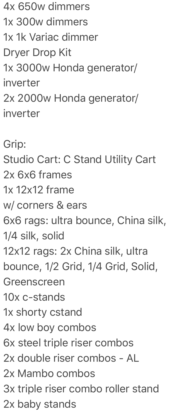4x 650w dimmers 1x 300w dimmers 1x 1k Variac dimmer Dryer Drop Kit 1x 3000w Honda generator/ inverter 2x 2000w Honda generator/ inverter Grip: Studio Cart: C Stand Utility Cart 2x 6x6 frames 1x 12x12 frame w/ corners & ears 6x6 rags: ultra bounce, China silk, 1/4 silk, solid 12x12 rags: 2x China silk, ultra bounce, 1/2 Grid, 1/4 Grid, Solid, Greenscreen 10x c-stands 1x shorty cstand 4x low boy combos 6x steel triple riser combos 2x double riser combos - AL 2x Mambo combos 3x triple riser combo roller stand

2x baby stands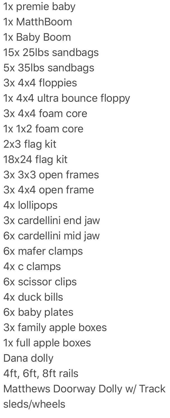1x premie baby 1x MatthBoom 1x Baby Boom 15x 25lbs sandbags 5x 35lbs sandbags 3x 4x4 floppies 1x 4x4 ultra bounce floppy 3x 4x4 foam core 1x 1x2 foam core 2x3 flag kit 18x24 flag kit 3x 3x3 open frames 3x 4x4 open frame 4x lollipops 3x cardellini end jaw 6x cardellini mid jaw 6x mafer clamps 4x c clamps 6x scissor clips 4x duck bills 6x baby plates 3x family apple boxes 1x full apple boxes Dana dolly 4ft, 6ft, 8ft rails Matthews Doorway Dolly w/ Track sleds/wheels